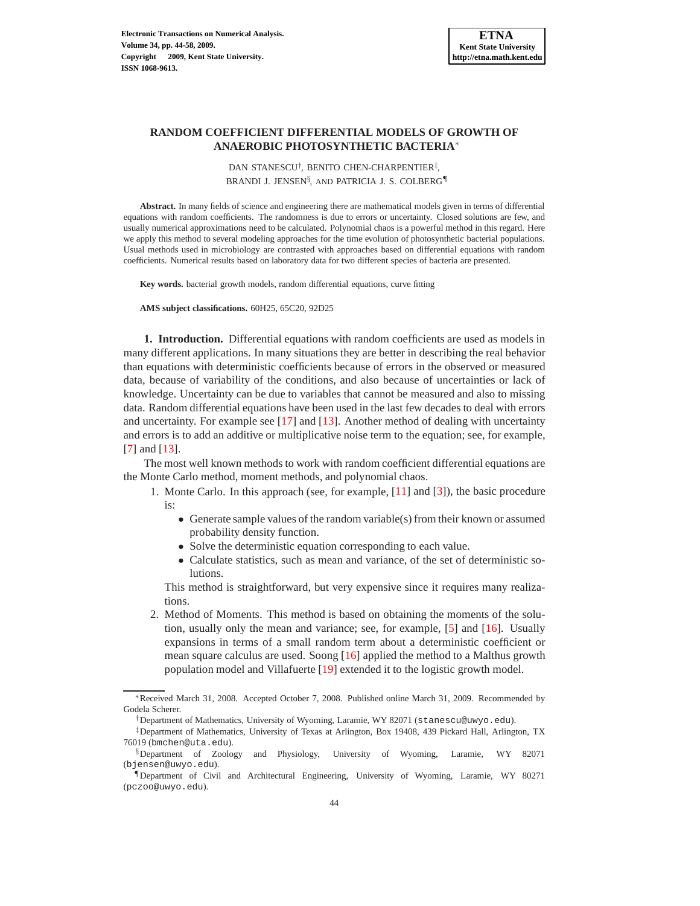## **RANDOM COEFFICIENT DIFFERENTIAL MODELS OF GROWTH OF ANAEROBIC PHOTOSYNTHETIC BACTERIA**<sup>∗</sup>

DAN STANESCU<sup>†</sup>, BENITO CHEN-CHARPENTIER<sup>‡</sup>, BRANDI J. JENSEN<sup>§</sup>, AND PATRICIA J. S. COLBERG¶

**Abstract.** In many fields of science and engineering there are mathematical models given in terms of differential equations with random coefficients. The randomness is due to errors or uncertainty. Closed solutions are few, and usually numerical approximations need to be calculated. Polynomial chaos is a powerful method in this regard. Here we apply this method to several modeling approaches for the time evolution of photosynthetic bacterial populations. Usual methods used in microbiology are contrasted with approaches based on differential equations with random coefficients. Numerical results based on laboratory data for two different species of bacteria are presented.

**Key words.** bacterial growth models, random differential equations, curve fitting

**AMS subject classifications.** 60H25, 65C20, 92D25

**1. Introduction.** Differential equations with random coefficients are used as models in many different applications. In many situations they are better in describing the real behavior than equations with deterministic coefficients because of errors in the observed or measured data, because of variability of the conditions, and also because of uncertainties or lack of knowledge. Uncertainty can be due to variables that cannot be measured and also to missing data. Random differential equations have been used in the last few decades to deal with errors and uncertainty. For example see [\[17\]](#page-14-0) and [\[13\]](#page-14-1). Another method of dealing with uncertainty and errors is to add an additive or multiplicative noise term to the equation; see, for example, [\[7\]](#page-14-2) and [\[13\]](#page-14-1).

The most well known methods to work with random coefficient differential equations are the Monte Carlo method, moment methods, and polynomial chaos.

1. Monte Carlo. In this approach (see, for example, [\[11\]](#page-14-3) and [\[3\]](#page-14-4)), the basic procedure is:

- Generate sample values of the random variable(s) from their known or assumed probability density function.
- Solve the deterministic equation corresponding to each value.
- Calculate statistics, such as mean and variance, of the set of deterministic solutions.

This method is straightforward, but very expensive since it requires many realizations.

2. Method of Moments. This method is based on obtaining the moments of the solution, usually only the mean and variance; see, for example, [\[5\]](#page-14-5) and [\[16\]](#page-14-6). Usually expansions in terms of a small random term about a deterministic coefficient or mean square calculus are used. Soong [\[16\]](#page-14-6) applied the method to a Malthus growth population model and Villafuerte [\[19\]](#page-14-7) extended it to the logistic growth model.

<sup>∗</sup>Received March 31, 2008. Accepted October 7, 2008. Published online March 31, 2009. Recommended by Godela Scherer.

<sup>†</sup>Department of Mathematics, University of Wyoming, Laramie, WY 82071 (stanescu@uwyo.edu).

<sup>‡</sup>Department of Mathematics, University of Texas at Arlington, Box 19408, 439 Pickard Hall, Arlington, TX 76019 (bmchen@uta.edu).

<sup>§</sup>Department of Zoology and Physiology, University of Wyoming, Laramie, WY 82071 (bjensen@uwyo.edu).

<sup>¶</sup>Department of Civil and Architectural Engineering, University of Wyoming, Laramie, WY 80271 (pczoo@uwyo.edu).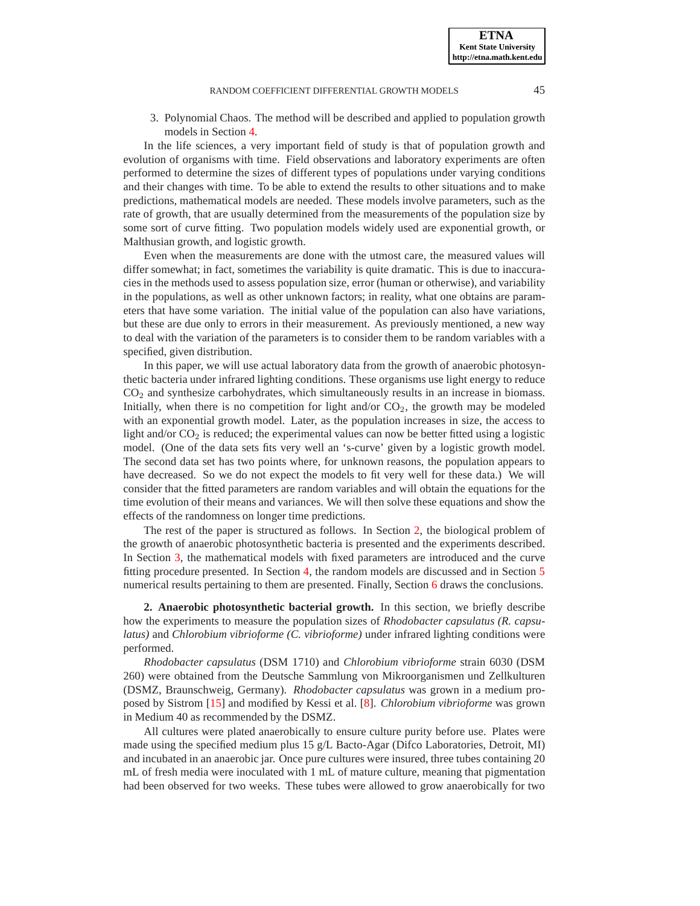3. Polynomial Chaos. The method will be described and applied to population growth models in Section [4.](#page-3-0)

In the life sciences, a very important field of study is that of population growth and evolution of organisms with time. Field observations and laboratory experiments are often performed to determine the sizes of different types of populations under varying conditions and their changes with time. To be able to extend the results to other situations and to make predictions, mathematical models are needed. These models involve parameters, such as the rate of growth, that are usually determined from the measurements of the population size by some sort of curve fitting. Two population models widely used are exponential growth, or Malthusian growth, and logistic growth.

Even when the measurements are done with the utmost care, the measured values will differ somewhat; in fact, sometimes the variability is quite dramatic. This is due to inaccuracies in the methods used to assess population size, error (human or otherwise), and variability in the populations, as well as other unknown factors; in reality, what one obtains are parameters that have some variation. The initial value of the population can also have variations, but these are due only to errors in their measurement. As previously mentioned, a new way to deal with the variation of the parameters is to consider them to be random variables with a specified, given distribution.

In this paper, we will use actual laboratory data from the growth of anaerobic photosynthetic bacteria under infrared lighting conditions. These organisms use light energy to reduce  $CO<sub>2</sub>$  and synthesize carbohydrates, which simultaneously results in an increase in biomass. Initially, when there is no competition for light and/or  $CO<sub>2</sub>$ , the growth may be modeled with an exponential growth model. Later, as the population increases in size, the access to light and/or  $CO<sub>2</sub>$  is reduced; the experimental values can now be better fitted using a logistic model. (One of the data sets fits very well an 's-curve' given by a logistic growth model. The second data set has two points where, for unknown reasons, the population appears to have decreased. So we do not expect the models to fit very well for these data.) We will consider that the fitted parameters are random variables and will obtain the equations for the time evolution of their means and variances. We will then solve these equations and show the effects of the randomness on longer time predictions.

The rest of the paper is structured as follows. In Section [2,](#page-1-0) the biological problem of the growth of anaerobic photosynthetic bacteria is presented and the experiments described. In Section [3,](#page-2-0) the mathematical models with fixed parameters are introduced and the curve fitting procedure presented. In Section [4,](#page-3-0) the random models are discussed and in Section [5](#page-7-0) numerical results pertaining to them are presented. Finally, Section [6](#page-9-0) draws the conclusions.

<span id="page-1-0"></span>**2. Anaerobic photosynthetic bacterial growth.** In this section, we briefly describe how the experiments to measure the population sizes of *Rhodobacter capsulatus (R. capsulatus)* and *Chlorobium vibrioforme (C. vibrioforme)* under infrared lighting conditions were performed.

*Rhodobacter capsulatus* (DSM 1710) and *Chlorobium vibrioforme* strain 6030 (DSM 260) were obtained from the Deutsche Sammlung von Mikroorganismen und Zellkulturen (DSMZ, Braunschweig, Germany). *Rhodobacter capsulatus* was grown in a medium proposed by Sistrom [\[15\]](#page-14-8) and modified by Kessi et al. [\[8\]](#page-14-9). *Chlorobium vibrioforme* was grown in Medium 40 as recommended by the DSMZ.

All cultures were plated anaerobically to ensure culture purity before use. Plates were made using the specified medium plus 15 g/L Bacto-Agar (Difco Laboratories, Detroit, MI) and incubated in an anaerobic jar. Once pure cultures were insured, three tubes containing 20 mL of fresh media were inoculated with 1 mL of mature culture, meaning that pigmentation had been observed for two weeks. These tubes were allowed to grow anaerobically for two

**ETNA Kent State University http://etna.math.kent.edu**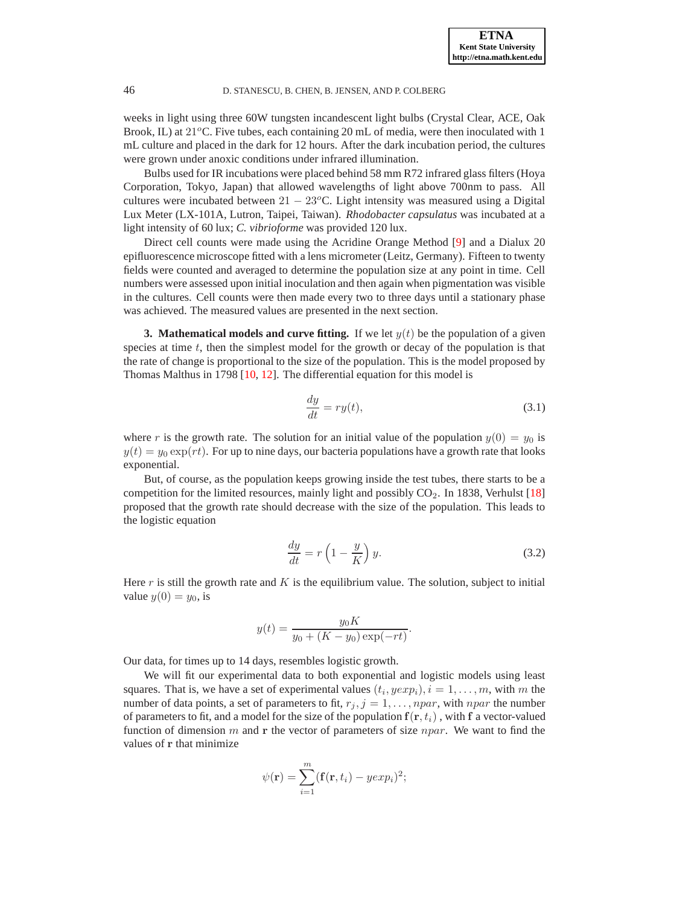weeks in light using three 60W tungsten incandescent light bulbs (Crystal Clear, ACE, Oak Brook, IL) at  $21^{\circ}$ C. Five tubes, each containing 20 mL of media, were then inoculated with 1 mL culture and placed in the dark for 12 hours. After the dark incubation period, the cultures were grown under anoxic conditions under infrared illumination.

Bulbs used for IR incubations were placed behind 58 mm R72 infrared glass filters (Hoya Corporation, Tokyo, Japan) that allowed wavelengths of light above 700nm to pass. All cultures were incubated between  $21 - 23^{\circ}$ C. Light intensity was measured using a Digital Lux Meter (LX-101A, Lutron, Taipei, Taiwan). *Rhodobacter capsulatus* was incubated at a light intensity of 60 lux; *C. vibrioforme* was provided 120 lux.

Direct cell counts were made using the Acridine Orange Method [\[9\]](#page-14-10) and a Dialux 20 epifluorescence microscope fitted with a lens micrometer (Leitz, Germany). Fifteen to twenty fields were counted and averaged to determine the population size at any point in time. Cell numbers were assessed upon initial inoculation and then again when pigmentation was visible in the cultures. Cell counts were then made every two to three days until a stationary phase was achieved. The measured values are presented in the next section.

<span id="page-2-0"></span>**3. Mathematical models and curve fitting.** If we let  $y(t)$  be the population of a given species at time  $t$ , then the simplest model for the growth or decay of the population is that the rate of change is proportional to the size of the population. This is the model proposed by Thomas Malthus in 1798 [\[10,](#page-14-11) [12\]](#page-14-12). The differential equation for this model is

<span id="page-2-1"></span>
$$
\frac{dy}{dt} = ry(t),\tag{3.1}
$$

where r is the growth rate. The solution for an initial value of the population  $y(0) = y_0$  is  $y(t) = y_0 \exp(rt)$ . For up to nine days, our bacteria populations have a growth rate that looks exponential.

But, of course, as the population keeps growing inside the test tubes, there starts to be a competition for the limited resources, mainly light and possibly CO2. In 1838, Verhulst [\[18\]](#page-14-13) proposed that the growth rate should decrease with the size of the population. This leads to the logistic equation

<span id="page-2-2"></span>
$$
\frac{dy}{dt} = r\left(1 - \frac{y}{K}\right)y.\tag{3.2}
$$

Here  $r$  is still the growth rate and  $K$  is the equilibrium value. The solution, subject to initial value  $y(0) = y_0$ , is

$$
y(t) = \frac{y_0 K}{y_0 + (K - y_0) \exp(-rt)}.
$$

Our data, for times up to 14 days, resembles logistic growth.

We will fit our experimental data to both exponential and logistic models using least squares. That is, we have a set of experimental values  $(t_i, yexp_i), i = 1, \ldots, m$ , with m the number of data points, a set of parameters to fit,  $r_j$ ,  $j = 1, \ldots$ ,  $npar$ , with  $npar$  the number of parameters to fit, and a model for the size of the population  $f(r, t_i)$ , with f a vector-valued function of dimension m and r the vector of parameters of size  $npar$ . We want to find the values of r that minimize

$$
\psi(\mathbf{r}) = \sum_{i=1}^{m} (\mathbf{f}(\mathbf{r}, t_i) - y \exp_i)^2;
$$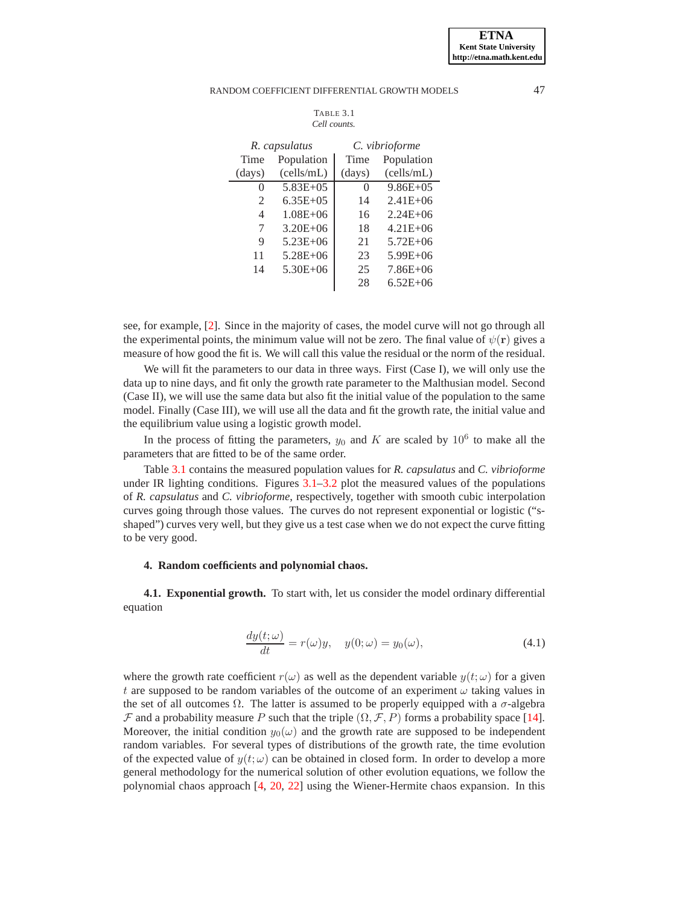<span id="page-3-1"></span>

| Table 3.1    |  |  |  |  |
|--------------|--|--|--|--|
| Cell counts. |  |  |  |  |

| R. capsulatus  |              | C. vibrioforme   |              |  |
|----------------|--------------|------------------|--------------|--|
| Time           | Population   | Time             | Population   |  |
| (days)         | (cells/mL)   | $\frac{days}{9}$ | (cells/mL)   |  |
| $\theta$       | $5.83E + 05$ | $\left( \right)$ | $9.86E + 05$ |  |
| $\mathfrak{D}$ | $6.35E + 05$ | 14               | $2.41E + 06$ |  |
| 4              | $1.08E + 06$ | 16               | $2.24E + 06$ |  |
| 7              | $3.20E + 06$ | 18               | $4.21E + 06$ |  |
| 9              | 5.23E+06     | 21               | $5.72E + 06$ |  |
| 11             | $5.28E + 06$ | 23               | $5.99E + 06$ |  |
| 14             | $5.30E + 06$ | 25               | $7.86E + 06$ |  |
|                |              | 28               | $6.52E + 06$ |  |

see, for example, [\[2\]](#page-14-14). Since in the majority of cases, the model curve will not go through all the experimental points, the minimum value will not be zero. The final value of  $\psi(\mathbf{r})$  gives a measure of how good the fit is. We will call this value the residual or the norm of the residual.

We will fit the parameters to our data in three ways. First (Case I), we will only use the data up to nine days, and fit only the growth rate parameter to the Malthusian model. Second (Case II), we will use the same data but also fit the initial value of the population to the same model. Finally (Case III), we will use all the data and fit the growth rate, the initial value and the equilibrium value using a logistic growth model.

In the process of fitting the parameters,  $y_0$  and K are scaled by  $10^6$  to make all the parameters that are fitted to be of the same order.

Table [3.1](#page-3-1) contains the measured population values for *R. capsulatus* and *C. vibrioforme* under IR lighting conditions. Figures [3.1](#page-4-0)[–3.2](#page-5-0) plot the measured values of the populations of *R. capsulatus* and *C. vibrioforme*, respectively, together with smooth cubic interpolation curves going through those values. The curves do not represent exponential or logistic ("sshaped") curves very well, but they give us a test case when we do not expect the curve fitting to be very good.

### <span id="page-3-0"></span>**4. Random coefficients and polynomial chaos.**

**4.1. Exponential growth.** To start with, let us consider the model ordinary differential equation

<span id="page-3-2"></span>
$$
\frac{dy(t; \omega)}{dt} = r(\omega)y, \quad y(0; \omega) = y_0(\omega), \tag{4.1}
$$

where the growth rate coefficient  $r(\omega)$  as well as the dependent variable  $y(t; \omega)$  for a given t are supposed to be random variables of the outcome of an experiment  $\omega$  taking values in the set of all outcomes  $\Omega$ . The latter is assumed to be properly equipped with a  $\sigma$ -algebra  $\mathcal F$  and a probability measure P such that the triple  $(\Omega, \mathcal F, P)$  forms a probability space [\[14\]](#page-14-15). Moreover, the initial condition  $y_0(\omega)$  and the growth rate are supposed to be independent random variables. For several types of distributions of the growth rate, the time evolution of the expected value of  $y(t; \omega)$  can be obtained in closed form. In order to develop a more general methodology for the numerical solution of other evolution equations, we follow the polynomial chaos approach [\[4,](#page-14-16) [20,](#page-14-17) [22\]](#page-14-18) using the Wiener-Hermite chaos expansion. In this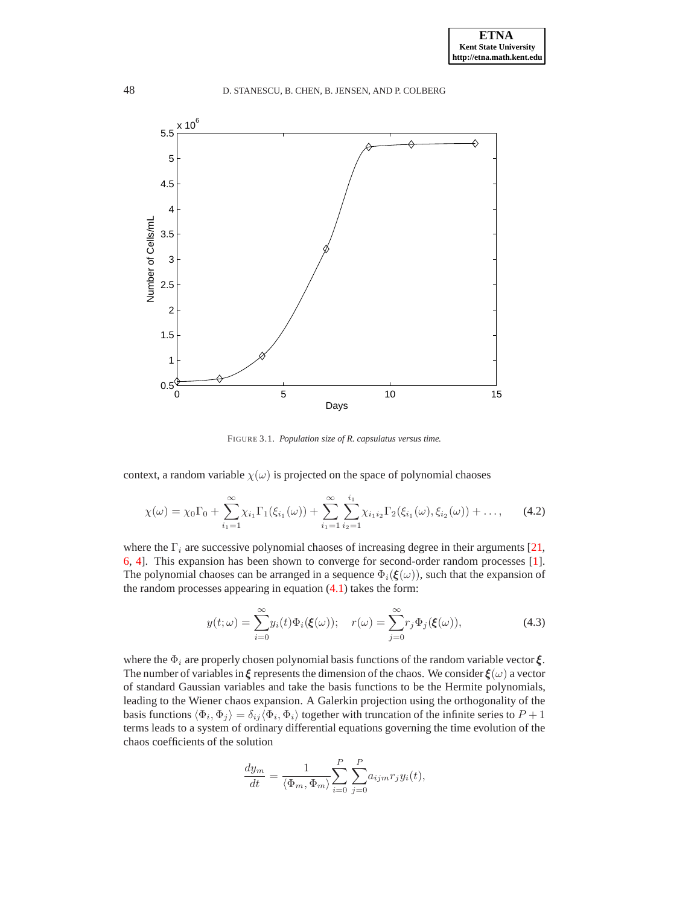

<span id="page-4-0"></span>FIGURE 3.1. *Population size of R. capsulatus versus time.*

context, a random variable  $\chi(\omega)$  is projected on the space of polynomial chaoses

$$
\chi(\omega) = \chi_0 \Gamma_0 + \sum_{i_1=1}^{\infty} \chi_{i_1} \Gamma_1(\xi_{i_1}(\omega)) + \sum_{i_1=1}^{\infty} \sum_{i_2=1}^{i_1} \chi_{i_1 i_2} \Gamma_2(\xi_{i_1}(\omega), \xi_{i_2}(\omega)) + \dots,
$$
 (4.2)

where the  $\Gamma_i$  are successive polynomial chaoses of increasing degree in their arguments [\[21,](#page-14-19) [6,](#page-14-20) [4\]](#page-14-16). This expansion has been shown to converge for second-order random processes [\[1\]](#page-14-21). The polynomial chaoses can be arranged in a sequence  $\Phi_i(\xi(\omega))$ , such that the expansion of the random processes appearing in equation  $(4.1)$  takes the form:

<span id="page-4-1"></span>
$$
y(t; \omega) = \sum_{i=0}^{\infty} y_i(t) \Phi_i(\boldsymbol{\xi}(\omega)); \quad r(\omega) = \sum_{j=0}^{\infty} r_j \Phi_j(\boldsymbol{\xi}(\omega)), \tag{4.3}
$$

where the  $\Phi_i$  are properly chosen polynomial basis functions of the random variable vector  $\xi$ . The number of variables in  $\xi$  represents the dimension of the chaos. We consider  $\xi(\omega)$  a vector of standard Gaussian variables and take the basis functions to be the Hermite polynomials, leading to the Wiener chaos expansion. A Galerkin projection using the orthogonality of the basis functions  $\langle \Phi_i, \Phi_j \rangle = \delta_{ij} \langle \Phi_i, \Phi_j \rangle$  together with truncation of the infinite series to  $P + 1$ terms leads to a system of ordinary differential equations governing the time evolution of the chaos coefficients of the solution

$$
\frac{dy_m}{dt} = \frac{1}{\langle \Phi_m, \Phi_m \rangle} \sum_{i=0}^P \sum_{j=0}^P a_{ijm} r_j y_i(t),
$$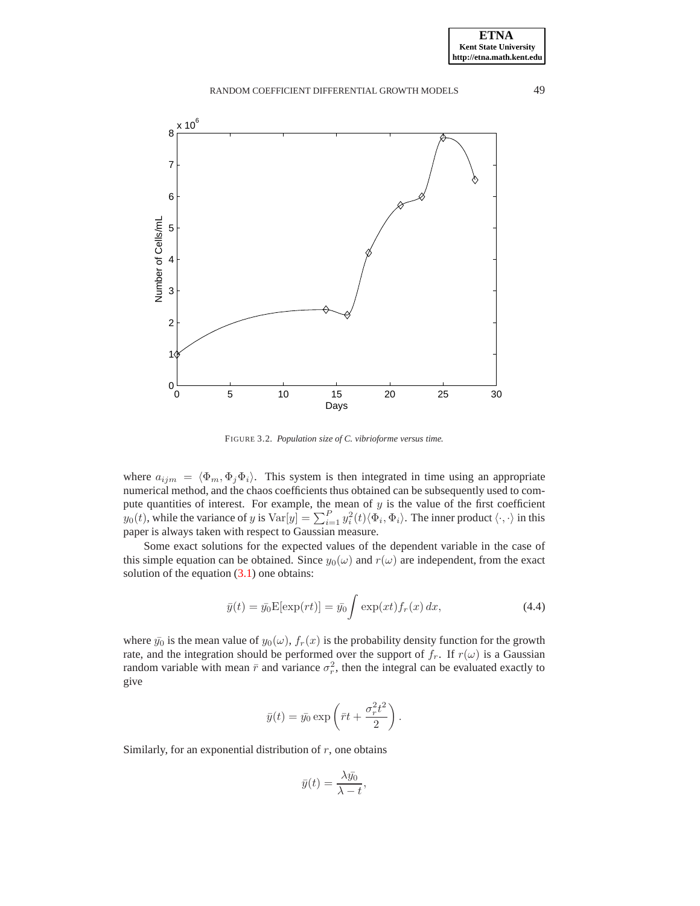

<span id="page-5-0"></span>FIGURE 3.2. *Population size of C. vibrioforme versus time.*

where  $a_{ijm} = \langle \Phi_m, \Phi_j \Phi_i \rangle$ . This system is then integrated in time using an appropriate numerical method, and the chaos coefficients thus obtained can be subsequently used to compute quantities of interest. For example, the mean of  $y$  is the value of the first coefficient  $y_0(t)$ , while the variance of y is  $Var[y] = \sum_{i=1}^P y_i^2(t) \langle \Phi_i, \Phi_i \rangle$ . The inner product  $\langle \cdot, \cdot \rangle$  in this paper is always taken with respect to Gaussian measure.

Some exact solutions for the expected values of the dependent variable in the case of this simple equation can be obtained. Since  $y_0(\omega)$  and  $r(\omega)$  are independent, from the exact solution of the equation  $(3.1)$  one obtains:

<span id="page-5-1"></span>
$$
\bar{y}(t) = \bar{y_0} \mathcal{E}[\exp(rt)] = \bar{y_0} \int \exp(xt) f_r(x) dx,
$$
\n(4.4)

where  $\bar{y}_0$  is the mean value of  $y_0(\omega)$ ,  $f_r(x)$  is the probability density function for the growth rate, and the integration should be performed over the support of  $f_r$ . If  $r(\omega)$  is a Gaussian random variable with mean  $\bar{r}$  and variance  $\sigma_r^2$ , then the integral can be evaluated exactly to give

$$
\bar{y}(t) = \bar{y}_0 \exp\left(\bar{r}t + \frac{\sigma_r^2 t^2}{2}\right).
$$

Similarly, for an exponential distribution of  $r$ , one obtains

$$
\bar{y}(t) = \frac{\lambda \bar{y_0}}{\lambda - t},
$$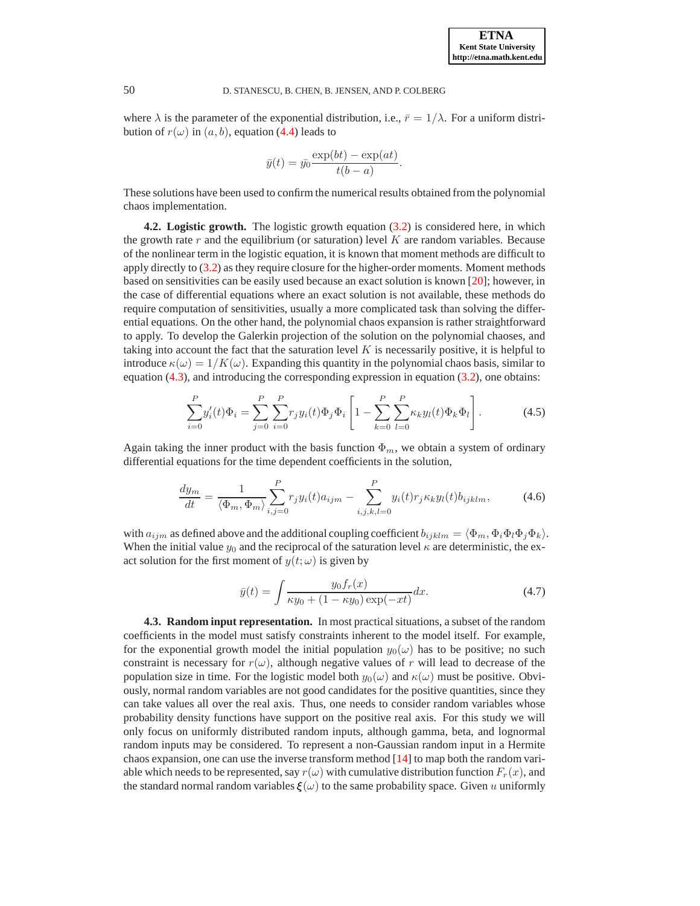where  $\lambda$  is the parameter of the exponential distribution, i.e.,  $\bar{r} = 1/\lambda$ . For a uniform distribution of  $r(\omega)$  in  $(a, b)$ , equation [\(4.4\)](#page-5-1) leads to

$$
\bar{y}(t) = \bar{y_0} \frac{\exp(bt) - \exp(at)}{t(b-a)}.
$$

These solutions have been used to confirm the numerical results obtained from the polynomial chaos implementation.

**4.2. Logistic growth.** The logistic growth equation [\(3.2\)](#page-2-2) is considered here, in which the growth rate  $r$  and the equilibrium (or saturation) level  $K$  are random variables. Because of the nonlinear term in the logistic equation, it is known that moment methods are difficult to apply directly to [\(3.2\)](#page-2-2) as they require closure for the higher-order moments. Moment methods based on sensitivities can be easily used because an exact solution is known [\[20\]](#page-14-17); however, in the case of differential equations where an exact solution is not available, these methods do require computation of sensitivities, usually a more complicated task than solving the differential equations. On the other hand, the polynomial chaos expansion is rather straightforward to apply. To develop the Galerkin projection of the solution on the polynomial chaoses, and taking into account the fact that the saturation level  $K$  is necessarily positive, it is helpful to introduce  $\kappa(\omega) = 1/K(\omega)$ . Expanding this quantity in the polynomial chaos basis, similar to equation [\(4.3\)](#page-4-1), and introducing the corresponding expression in equation [\(3.2\)](#page-2-2), one obtains:

$$
\sum_{i=0}^{P} y_i'(t)\Phi_i = \sum_{j=0}^{P} \sum_{i=0}^{P} r_j y_i(t)\Phi_j \Phi_i \left[ 1 - \sum_{k=0}^{P} \sum_{l=0}^{P} \kappa_k y_l(t)\Phi_k \Phi_l \right].
$$
 (4.5)

Again taking the inner product with the basis function  $\Phi_m$ , we obtain a system of ordinary differential equations for the time dependent coefficients in the solution,

$$
\frac{dy_m}{dt} = \frac{1}{\langle \Phi_m, \Phi_m \rangle} \sum_{i,j=0}^{P} r_j y_i(t) a_{ijm} - \sum_{i,j,k,l=0}^{P} y_i(t) r_j \kappa_k y_l(t) b_{ijklm}, \tag{4.6}
$$

with  $a_{ijm}$  as defined above and the additional coupling coefficient  $b_{ijklm} = \langle \Phi_m, \Phi_i \Phi_i \Phi_j \Phi_k \rangle$ . When the initial value  $y_0$  and the reciprocal of the saturation level  $\kappa$  are deterministic, the exact solution for the first moment of  $y(t; \omega)$  is given by

$$
\bar{y}(t) = \int \frac{y_0 f_r(x)}{\kappa y_0 + (1 - \kappa y_0) \exp(-xt)} dx.
$$
 (4.7)

**4.3. Random input representation.** In most practical situations, a subset of the random coefficients in the model must satisfy constraints inherent to the model itself. For example, for the exponential growth model the initial population  $y_0(\omega)$  has to be positive; no such constraint is necessary for  $r(\omega)$ , although negative values of r will lead to decrease of the population size in time. For the logistic model both  $y_0(\omega)$  and  $\kappa(\omega)$  must be positive. Obviously, normal random variables are not good candidates for the positive quantities, since they can take values all over the real axis. Thus, one needs to consider random variables whose probability density functions have support on the positive real axis. For this study we will only focus on uniformly distributed random inputs, although gamma, beta, and lognormal random inputs may be considered. To represent a non-Gaussian random input in a Hermite chaos expansion, one can use the inverse transform method [\[14\]](#page-14-15) to map both the random variable which needs to be represented, say  $r(\omega)$  with cumulative distribution function  $F_r(x)$ , and the standard normal random variables  $\xi(\omega)$  to the same probability space. Given u uniformly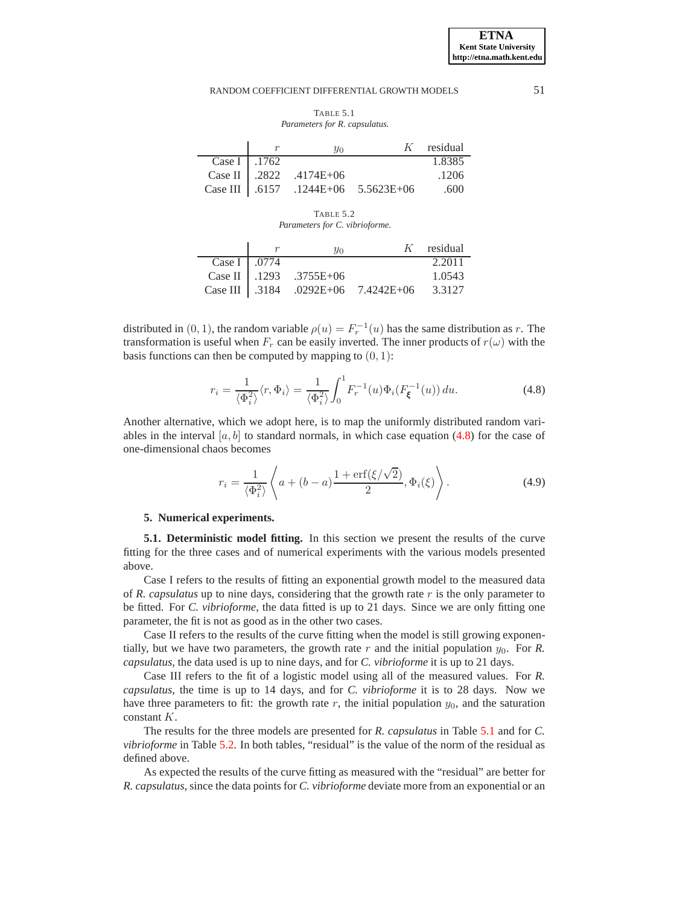<span id="page-7-2"></span>TABLE 5.1 *Parameters for R. capsulatus.*

|              | $y_0$                       |                                       | $K$ residual |
|--------------|-----------------------------|---------------------------------------|--------------|
| Case I .1762 |                             |                                       | 1.8385       |
|              | Case II $.2822$ $.4174E+06$ |                                       | .1206        |
|              |                             | Case III   .6157 .1244E+06 5.5623E+06 | .600         |

<span id="page-7-3"></span>TABLE 5.2 *Parameters for C. vibrioforme.*

|              | $y_0$                  |                                    | $K$ residual |
|--------------|------------------------|------------------------------------|--------------|
| Case I .0774 |                        |                                    | 2.2011       |
|              | Case II 1293 .3755E+06 |                                    | 1.0543       |
|              |                        | Case III 3184 .0292E+06 7.4242E+06 | 3.3127       |

distributed in  $(0, 1)$ , the random variable  $\rho(u) = F_r^{-1}(u)$  has the same distribution as r. The transformation is useful when  $F_r$  can be easily inverted. The inner products of  $r(\omega)$  with the basis functions can then be computed by mapping to  $(0, 1)$ :

<span id="page-7-1"></span>
$$
r_i = \frac{1}{\langle \Phi_i^2 \rangle} \langle r, \Phi_i \rangle = \frac{1}{\langle \Phi_i^2 \rangle} \int_0^1 F_r^{-1}(u) \Phi_i(F_{\xi}^{-1}(u)) du.
$$
 (4.8)

Another alternative, which we adopt here, is to map the uniformly distributed random variables in the interval  $[a, b]$  to standard normals, in which case equation [\(4.8\)](#page-7-1) for the case of one-dimensional chaos becomes

$$
r_i = \frac{1}{\langle \Phi_i^2 \rangle} \left\langle a + (b - a) \frac{1 + \text{erf}(\xi/\sqrt{2})}{2}, \Phi_i(\xi) \right\rangle.
$$
 (4.9)

#### <span id="page-7-0"></span>**5. Numerical experiments.**

**5.1. Deterministic model fitting.** In this section we present the results of the curve fitting for the three cases and of numerical experiments with the various models presented above.

Case I refers to the results of fitting an exponential growth model to the measured data of *R. capsulatus* up to nine days, considering that the growth rate  $r$  is the only parameter to be fitted. For *C. vibrioforme*, the data fitted is up to 21 days. Since we are only fitting one parameter, the fit is not as good as in the other two cases.

Case II refers to the results of the curve fitting when the model is still growing exponentially, but we have two parameters, the growth rate  $r$  and the initial population  $y_0$ . For  $R$ . *capsulatus*, the data used is up to nine days, and for *C. vibrioforme* it is up to 21 days.

Case III refers to the fit of a logistic model using all of the measured values. For *R. capsulatus*, the time is up to 14 days, and for *C. vibrioforme* it is to 28 days. Now we have three parameters to fit: the growth rate  $r$ , the initial population  $y_0$ , and the saturation constant K.

The results for the three models are presented for *R. capsulatus* in Table [5.1](#page-7-2) and for *C. vibrioforme* in Table [5.2.](#page-7-3) In both tables, "residual" is the value of the norm of the residual as defined above.

As expected the results of the curve fitting as measured with the "residual" are better for *R. capsulatus*, since the data points for *C. vibrioforme* deviate more from an exponential or an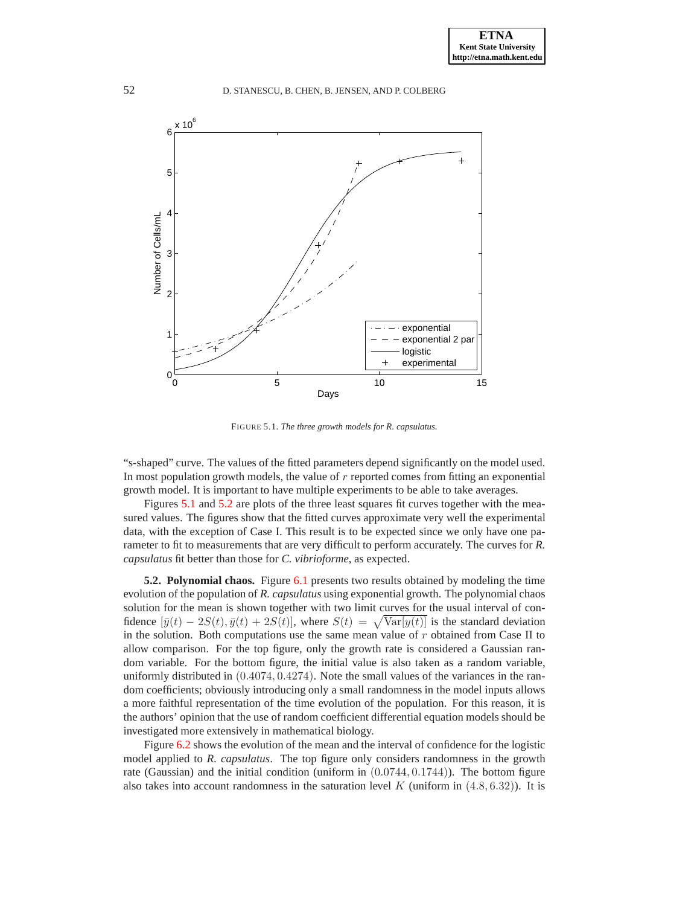

<span id="page-8-0"></span>FIGURE 5.1. *The three growth models for R. capsulatus.*

"s-shaped" curve. The values of the fitted parameters depend significantly on the model used. In most population growth models, the value of r reported comes from fitting an exponential growth model. It is important to have multiple experiments to be able to take averages.

Figures [5.1](#page-8-0) and [5.2](#page-9-1) are plots of the three least squares fit curves together with the measured values. The figures show that the fitted curves approximate very well the experimental data, with the exception of Case I. This result is to be expected since we only have one parameter to fit to measurements that are very difficult to perform accurately. The curves for *R. capsulatus* fit better than those for *C. vibrioforme*, as expected.

**5.2. Polynomial chaos.** Figure [6.1](#page-10-0) presents two results obtained by modeling the time evolution of the population of *R. capsulatus* using exponential growth. The polynomial chaos solution for the mean is shown together with two limit curves for the usual interval of confidence  $[\bar{y}(t) - 2S(t), \bar{y}(t) + 2S(t)]$ , where  $S(t) = \sqrt{\text{Var}[y(t)]}$  is the standard deviation in the solution. Both computations use the same mean value of  $r$  obtained from Case II to allow comparison. For the top figure, only the growth rate is considered a Gaussian random variable. For the bottom figure, the initial value is also taken as a random variable, uniformly distributed in  $(0.4074, 0.4274)$ . Note the small values of the variances in the random coefficients; obviously introducing only a small randomness in the model inputs allows a more faithful representation of the time evolution of the population. For this reason, it is the authors' opinion that the use of random coefficient differential equation models should be investigated more extensively in mathematical biology.

Figure [6.2](#page-11-0) shows the evolution of the mean and the interval of confidence for the logistic model applied to *R. capsulatus*. The top figure only considers randomness in the growth rate (Gaussian) and the initial condition (uniform in  $(0.0744, 0.1744)$ ). The bottom figure also takes into account randomness in the saturation level  $K$  (uniform in  $(4.8, 6.32)$ ). It is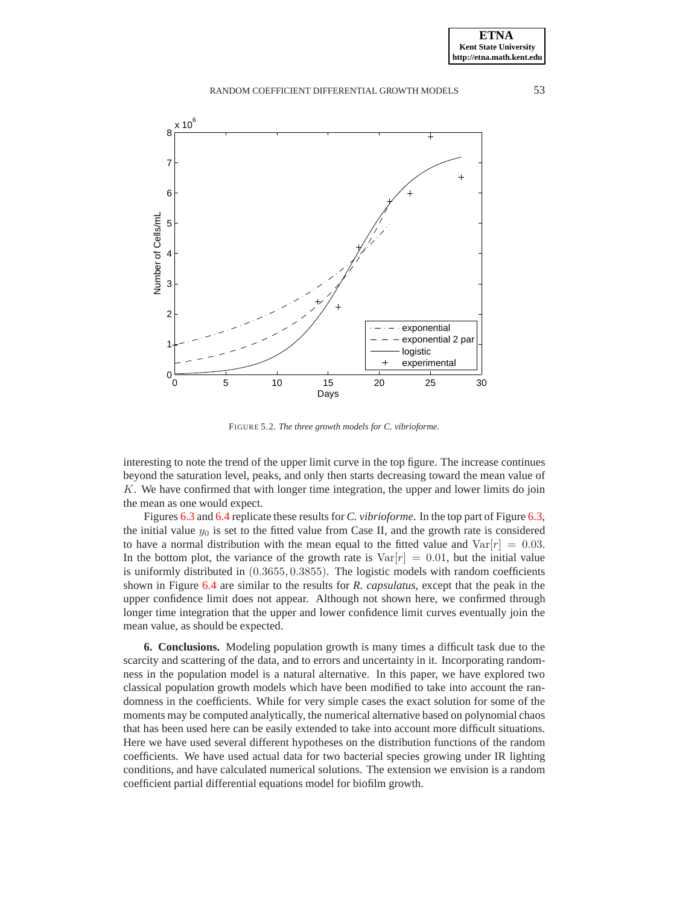

<span id="page-9-1"></span>FIGURE 5.2. *The three growth models for C. vibrioforme.*

interesting to note the trend of the upper limit curve in the top figure. The increase continues beyond the saturation level, peaks, and only then starts decreasing toward the mean value of  $K$ . We have confirmed that with longer time integration, the upper and lower limits do join the mean as one would expect.

Figures [6.3](#page-12-0) and [6.4](#page-13-0) replicate these results for *C. vibrioforme*. In the top part of Figure [6.3,](#page-12-0) the initial value  $y_0$  is set to the fitted value from Case II, and the growth rate is considered to have a normal distribution with the mean equal to the fitted value and  $Var[r] = 0.03$ . In the bottom plot, the variance of the growth rate is  $Var[r] = 0.01$ , but the initial value is uniformly distributed in (0.3655, 0.3855). The logistic models with random coefficients shown in Figure [6.4](#page-13-0) are similar to the results for *R. capsulatus*, except that the peak in the upper confidence limit does not appear. Although not shown here, we confirmed through longer time integration that the upper and lower confidence limit curves eventually join the mean value, as should be expected.

<span id="page-9-0"></span>**6. Conclusions.** Modeling population growth is many times a difficult task due to the scarcity and scattering of the data, and to errors and uncertainty in it. Incorporating randomness in the population model is a natural alternative. In this paper, we have explored two classical population growth models which have been modified to take into account the randomness in the coefficients. While for very simple cases the exact solution for some of the moments may be computed analytically, the numerical alternative based on polynomial chaos that has been used here can be easily extended to take into account more difficult situations. Here we have used several different hypotheses on the distribution functions of the random coefficients. We have used actual data for two bacterial species growing under IR lighting conditions, and have calculated numerical solutions. The extension we envision is a random coefficient partial differential equations model for biofilm growth.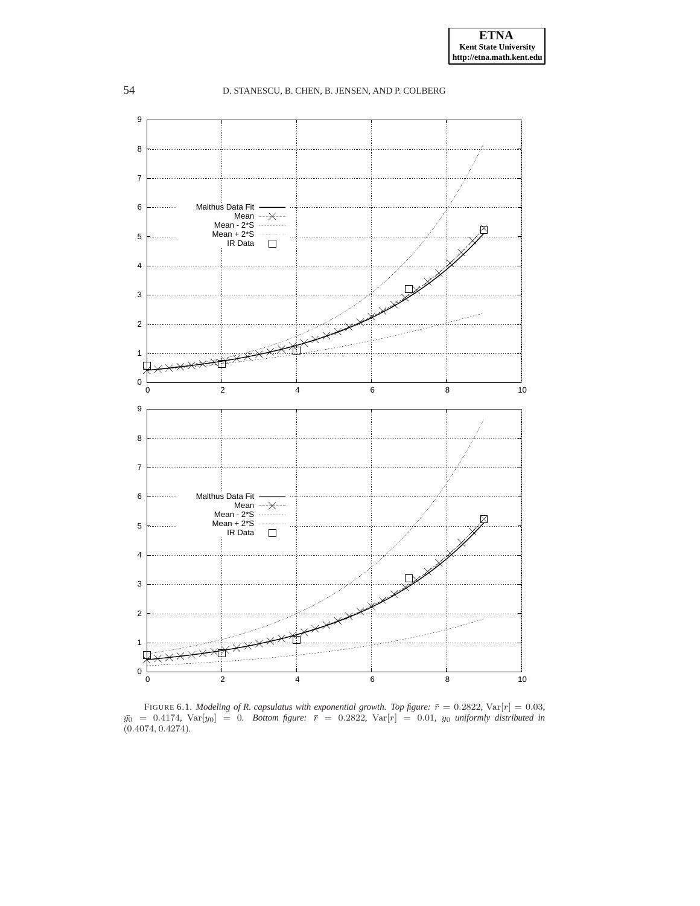

<span id="page-10-0"></span>FIGURE 6.1. *Modeling of R. capsulatus with exponential growth. Top figure:*  $\bar{r} = 0.2822$ ,  $Var[r] = 0.03$ ,  $\bar{y}_0 = 0.4174$ ,  $\text{Var}[y_0] = 0$ . Bottom figure:  $\bar{r} = 0.2822$ ,  $\text{Var}[r] = 0.01$ ,  $y_0$  *uniformly distributed in* (0.4074, 0.4274)*.*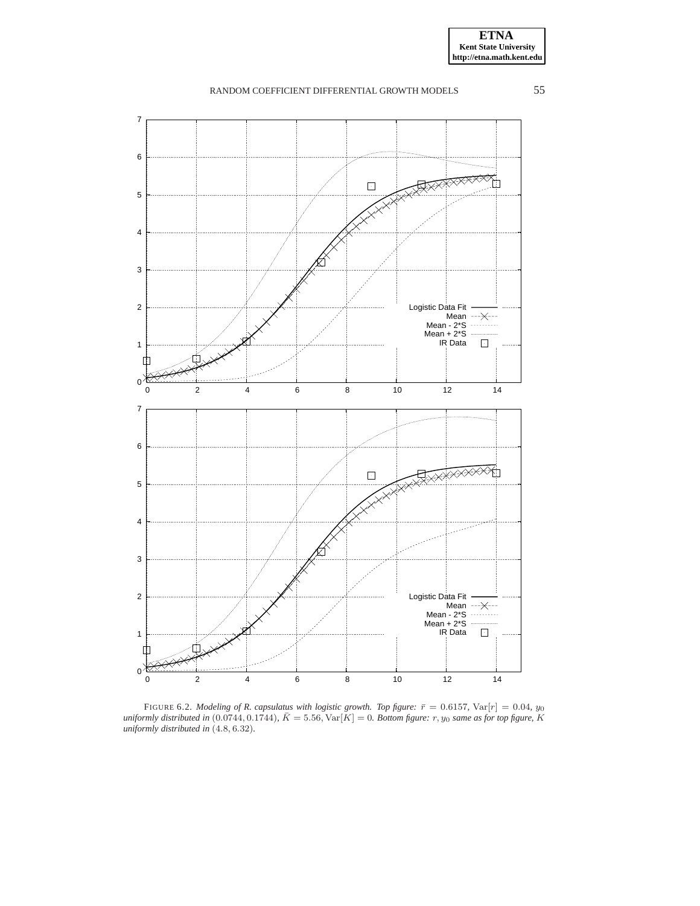



<span id="page-11-0"></span>FIGURE 6.2. *Modeling of R. capsulatus with logistic growth. Top figure:*  $\bar{r} = 0.6157$ , Var $[r] = 0.04$ ,  $y_0$ <br>uniformly distributed in  $(0.0744, 0.1744)$ ,  $\bar{K} = 5.56$ , Var $[K] = 0$ . *Bottom figure:*  $r, y_0$  same as for *uniformly distributed in* (4.8, 6.32)*.*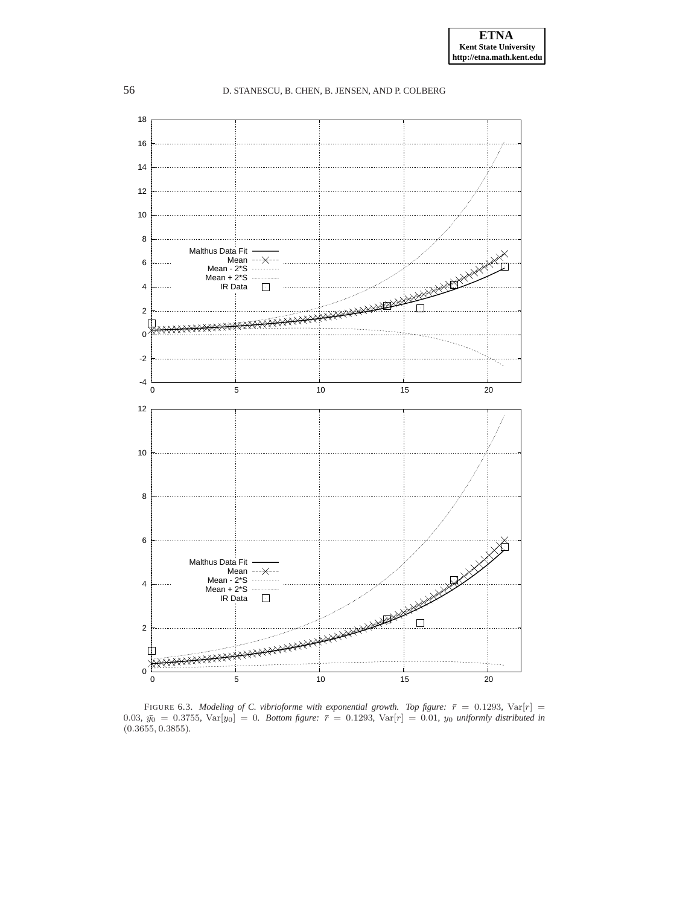

<span id="page-12-0"></span>FIGURE 6.3. *Modeling of C. vibrioforme with exponential growth. Top figure:*  $\bar{r} = 0.1293$ ,  $Var[r] =$  $0.03, \bar{y_0} = 0.3755, \text{Var}[y_0] = 0$ . Bottom figure:  $\bar{r} = 0.1293, \text{Var}[r] = 0.01, y_0$  uniformly distributed in (0.3655, 0.3855)*.*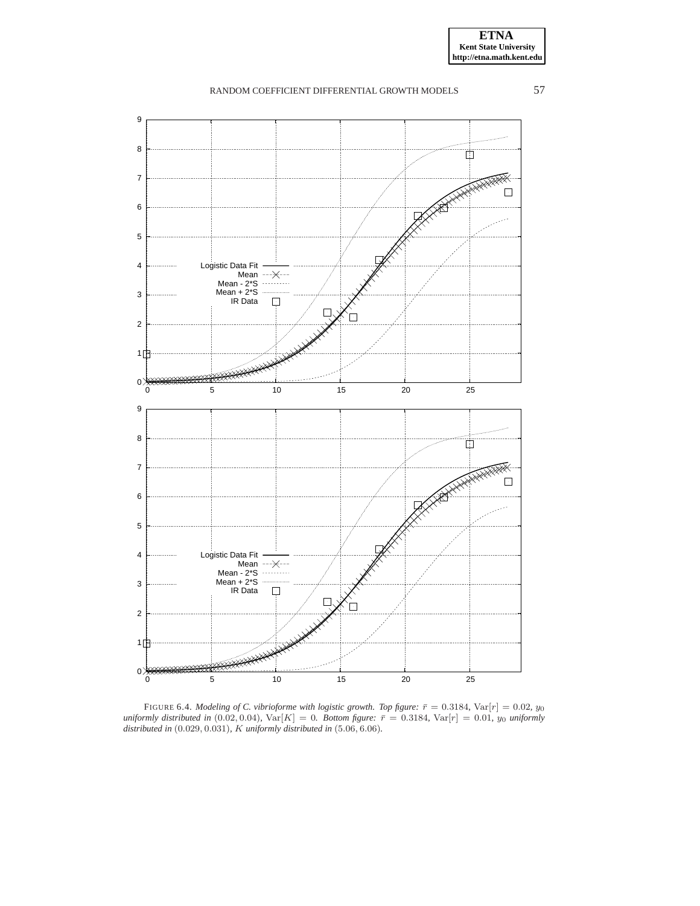![](_page_13_Figure_2.jpeg)

<span id="page-13-0"></span>FIGURE 6.4. *Modeling of C. vibrioforme with logistic growth. Top figure:*  $\bar{r} = 0.3184$ ,  $Var[r] = 0.02$ ,  $y_0$ *uniformly distributed in*  $(0.02, 0.04)$ *,*  $Var[K] = 0$ *. Bottom figure:*  $\bar{r} = 0.3184$ *,*  $Var[r] = 0.01$ *, y<sub>0</sub> uniformly distributed in* (0.029, 0.031)*,* K *uniformly distributed in* (5.06, 6.06)*.*